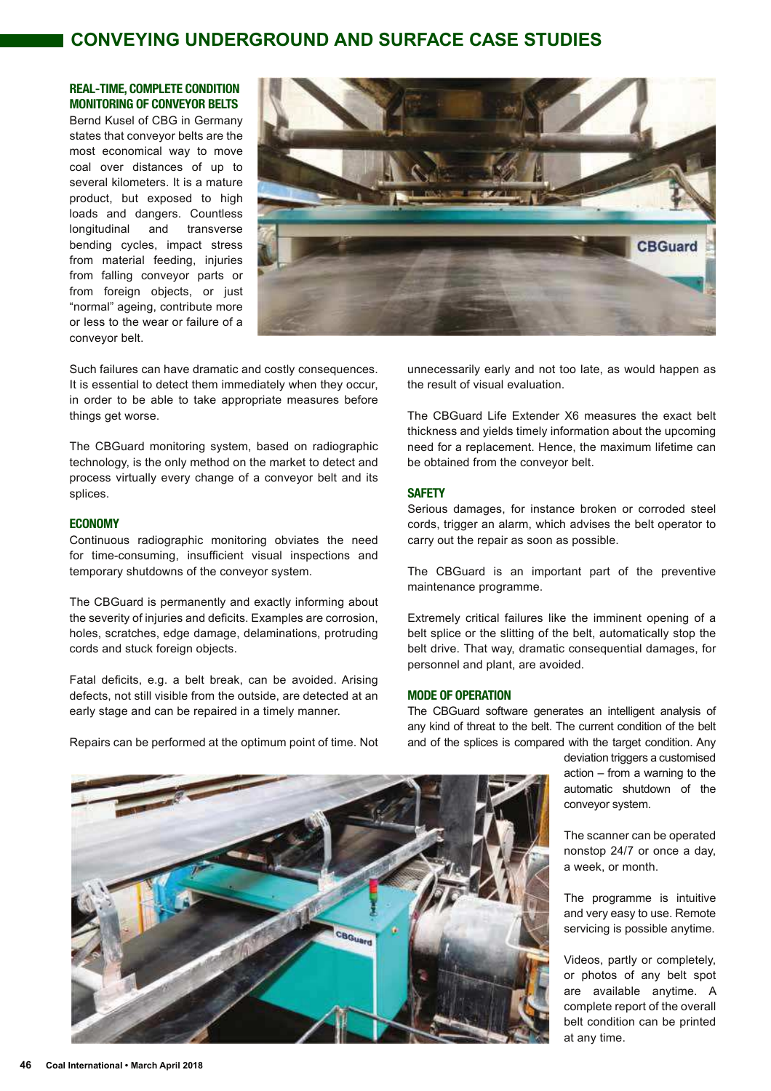# **CONVEYING UNDERGROUND AND SURFACE CASE STUDIES**

# **REAL-TIME, COMPLETE CONDITION MONITORING OF CONVEYOR BELTS**

Bernd Kusel of CBG in Germany states that conveyor belts are the most economical way to move coal over distances of up to several kilometers. It is a mature product, but exposed to high loads and dangers. Countless longitudinal and transverse bending cycles, impact stress from material feeding, injuries from falling conveyor parts or from foreign objects, or just "normal" ageing, contribute more or less to the wear or failure of a conveyor belt.



Such failures can have dramatic and costly consequences. It is essential to detect them immediately when they occur, in order to be able to take appropriate measures before things get worse.

The CBGuard monitoring system, based on radiographic technology, is the only method on the market to detect and process virtually every change of a conveyor belt and its splices.

# **ECONOMY**

Continuous radiographic monitoring obviates the need for time-consuming, insufficient visual inspections and temporary shutdowns of the conveyor system.

The CBGuard is permanently and exactly informing about the severity of injuries and deficits. Examples are corrosion, holes, scratches, edge damage, delaminations, protruding cords and stuck foreign objects.

Fatal deficits, e.g. a belt break, can be avoided. Arising defects, not still visible from the outside, are detected at an early stage and can be repaired in a timely manner.

Repairs can be performed at the optimum point of time. Not

unnecessarily early and not too late, as would happen as the result of visual evaluation.

The CBGuard Life Extender X6 measures the exact belt thickness and yields timely information about the upcoming need for a replacement. Hence, the maximum lifetime can be obtained from the conveyor belt.

# **SAFETY**

Serious damages, for instance broken or corroded steel cords, trigger an alarm, which advises the belt operator to carry out the repair as soon as possible.

The CBGuard is an important part of the preventive maintenance programme.

Extremely critical failures like the imminent opening of a belt splice or the slitting of the belt, automatically stop the belt drive. That way, dramatic consequential damages, for personnel and plant, are avoided.

#### **MODE OF OPERATION**

The CBGuard software generates an intelligent analysis of any kind of threat to the belt. The current condition of the belt and of the splices is compared with the target condition. Any

> deviation triggers a customised action – from a warning to the automatic shutdown of the conveyor system.

> The scanner can be operated nonstop 24/7 or once a day, a week, or month.

> The programme is intuitive and very easy to use. Remote servicing is possible anytime.

> Videos, partly or completely, or photos of any belt spot are available anytime. A complete report of the overall belt condition can be printed at any time.